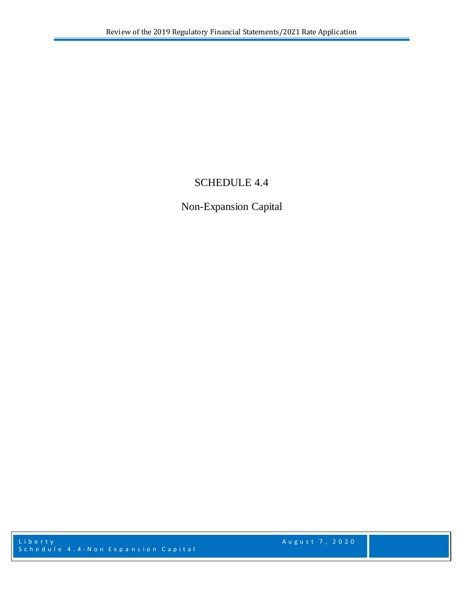## SCHEDULE 4.4

Non-Expansion Capital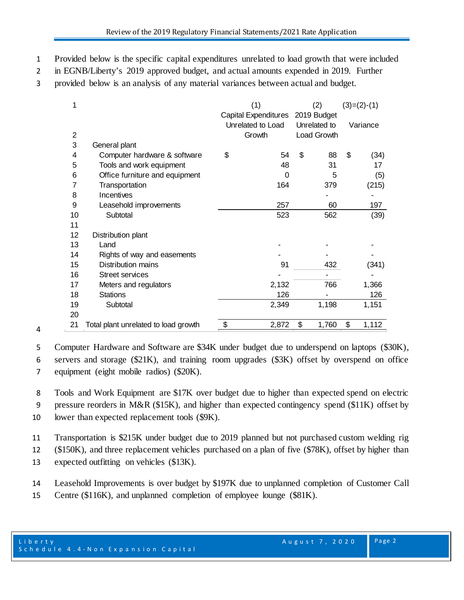- Provided below is the specific capital expenditures unrelated to load growth that were included
- in EGNB/Liberty's 2019 approved budget, and actual amounts expended in 2019. Further
- provided below is an analysis of any material variances between actual and budget.

| 1              |                                      | (1)                         |    | (2)          |    | $(3)=(2)-(1)$ |  |
|----------------|--------------------------------------|-----------------------------|----|--------------|----|---------------|--|
|                |                                      | <b>Capital Expenditures</b> |    | 2019 Budget  |    |               |  |
|                |                                      | Unrelated to Load           |    | Unrelated to |    | Variance      |  |
| $\overline{c}$ |                                      | Growth                      |    | Load Growth  |    |               |  |
| 3              | General plant                        |                             |    |              |    |               |  |
| 4              | Computer hardware & software         | \$<br>54                    | \$ | 88           | \$ | (34)          |  |
| 5              | Tools and work equipment             | 48                          |    | 31           |    | 17            |  |
| 6              | Office furniture and equipment       | 0                           |    | 5            |    | (5)           |  |
| 7              | Transportation                       | 164                         |    | 379          |    | (215)         |  |
| 8              | Incentives                           |                             |    |              |    |               |  |
| 9              | Leasehold improvements               | 257                         |    | 60           |    | 197           |  |
| 10             | Subtotal                             | 523                         |    | 562          |    | (39)          |  |
| 11             |                                      |                             |    |              |    |               |  |
| 12             | Distribution plant                   |                             |    |              |    |               |  |
| 13             | Land                                 |                             |    |              |    |               |  |
| 14             | Rights of way and easements          |                             |    |              |    |               |  |
| 15             | Distribution mains                   | 91                          |    | 432          |    | (341)         |  |
| 16             | <b>Street services</b>               |                             |    |              |    |               |  |
| 17             | Meters and regulators                | 2,132                       |    | 766          |    | 1,366         |  |
| 18             | <b>Stations</b>                      | 126                         |    |              |    | 126           |  |
| 19             | Subtotal                             | 2,349                       |    | 1,198        |    | 1,151         |  |
| 20             |                                      |                             |    |              |    |               |  |
| 21             | Total plant unrelated to load growth | \$<br>2,872                 | \$ | 1,760        | \$ | 1,112         |  |

 Computer Hardware and Software are \$34K under budget due to underspend on laptops (\$30K), servers and storage (\$21K), and training room upgrades (\$3K) offset by overspend on office equipment (eight mobile radios) (\$20K).

 Tools and Work Equipment are \$17K over budget due to higher than expected spend on electric pressure reorders in M&R (\$15K), and higher than expected contingency spend (\$11K) offset by

lower than expected replacement tools (\$9K).

Transportation is \$215K under budget due to 2019 planned but not purchased custom welding rig

(\$150K), and three replacement vehicles purchased on a plan of five (\$78K), offset by higher than

expected outfitting on vehicles (\$13K).

- Leasehold Improvements is over budget by \$197K due to unplanned completion of Customer Call
- Centre (\$116K), and unplanned completion of employee lounge (\$81K).